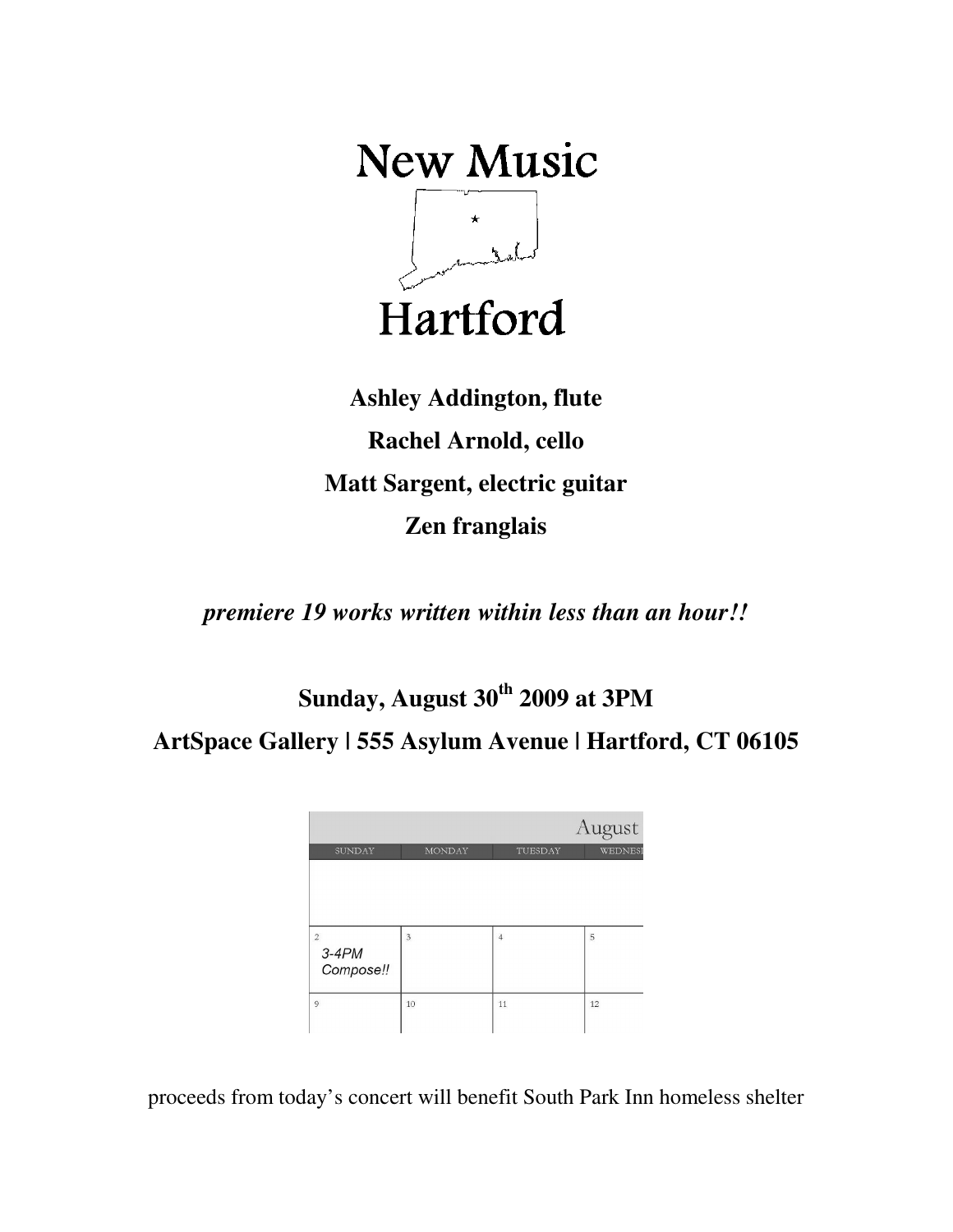**New Music**  $\begin{bmatrix} & & & \\ & \star & & \\ & & \downarrow & \\ & & & \downarrow & \\ & & & & \downarrow \end{bmatrix}$ Hartford

**Ashley Addington, flute Rachel Arnold, cello Matt Sargent, electric guitar Zen franglais** 

*premiere 19 works written within less than an hour!!* 

**Sunday, August 30th 2009 at 3PM** 

**ArtSpace Gallery | 555 Asylum Avenue | Hartford, CT 06105** 

|                |                | August         |         |
|----------------|----------------|----------------|---------|
| <b>SUNDAY</b>  | <b>MONDAY</b>  | TUESDAY        | WEDNESI |
|                |                |                |         |
|                |                |                |         |
|                |                |                |         |
| $\overline{2}$ | $\overline{3}$ | $\overline{4}$ | 5       |
| $3-4PM$        |                |                |         |
| Compose!!      |                |                |         |
| 9              | 10             | 11             | 12      |
|                |                |                |         |

proceeds from today's concert will benefit South Park Inn homeless shelter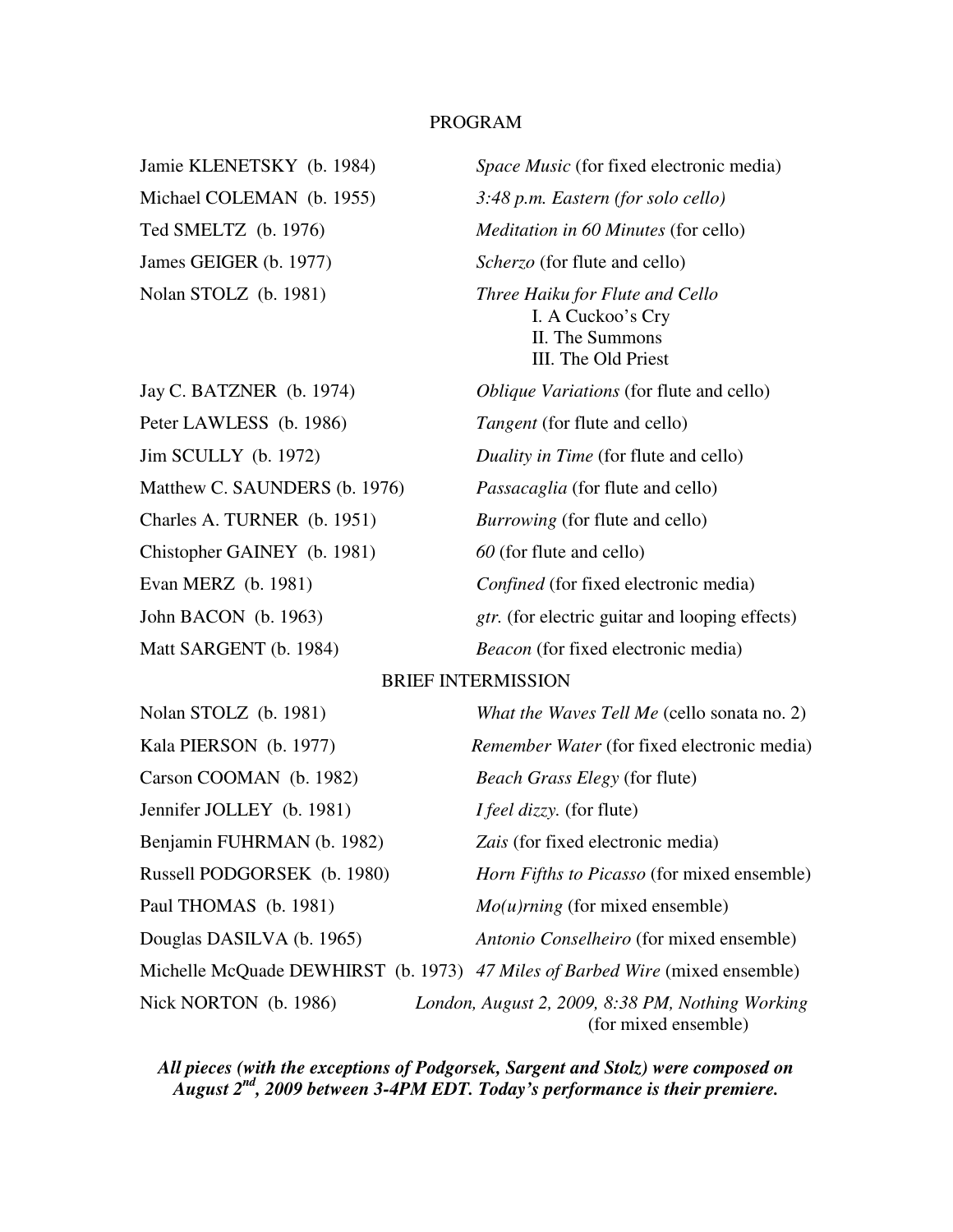# PROGRAM

James GEIGER (b. 1977) *Scherzo* (for flute and cello)

Peter LAWLESS (b. 1986) *Tangent* (for flute and cello) Jim SCULLY (b. 1972) *Duality in Time* (for flute and cello) Matthew C. SAUNDERS (b. 1976) *Passacaglia* (for flute and cello) Charles A. TURNER (b. 1951) *Burrowing* (for flute and cello) Chistopher GAINEY (b. 1981) *60* (for flute and cello) Evan MERZ (b. 1981) *Confined* (for fixed electronic media)

Jamie KLENETSKY (b. 1984) *Space Music* (for fixed electronic media) Michael COLEMAN (b. 1955) *3:48 p.m. Eastern (for solo cello)* Ted SMELTZ (b. 1976) *Meditation in 60 Minutes* (for cello) Nolan STOLZ (b. 1981) *Three Haiku for Flute and Cello*  I. A Cuckoo's Cry II. The Summons III. The Old Priest Jay C. BATZNER (b. 1974) *Oblique Variations* (for flute and cello)

John BACON (b. 1963) *gtr.* (for electric guitar and looping effects)

Matt SARGENT (b. 1984) *Beacon* (for fixed electronic media)

## BRIEF INTERMISSION

| Nolan STOLZ (b. 1981)       | What the Waves Tell Me (cello sonata no. 2)                                  |
|-----------------------------|------------------------------------------------------------------------------|
| Kala PIERSON (b. 1977)      | <i>Remember Water</i> (for fixed electronic media)                           |
| Carson COOMAN (b. 1982)     | <i>Beach Grass Elegy (for flute)</i>                                         |
| Jennifer JOLLEY (b. 1981)   | <i>I feel dizzy.</i> (for flute)                                             |
| Benjamin FUHRMAN (b. 1982)  | Zais (for fixed electronic media)                                            |
| Russell PODGORSEK (b. 1980) | <i>Horn Fifths to Picasso</i> (for mixed ensemble)                           |
| Paul THOMAS (b. 1981)       | $Mo(u)$ <i>rning</i> (for mixed ensemble)                                    |
| Douglas DASILVA (b. 1965)   | Antonio Conselheiro (for mixed ensemble)                                     |
|                             | Michelle McQuade DEWHIRST (b. 1973) 47 Miles of Barbed Wire (mixed ensemble) |
| Nick NORTON (b. 1986)       | London, August 2, 2009, 8:38 PM, Nothing Working<br>(for mixed ensemble)     |

*All pieces (with the exceptions of Podgorsek, Sargent and Stolz) were composed on August 2nd, 2009 between 3-4PM EDT. Today's performance is their premiere.*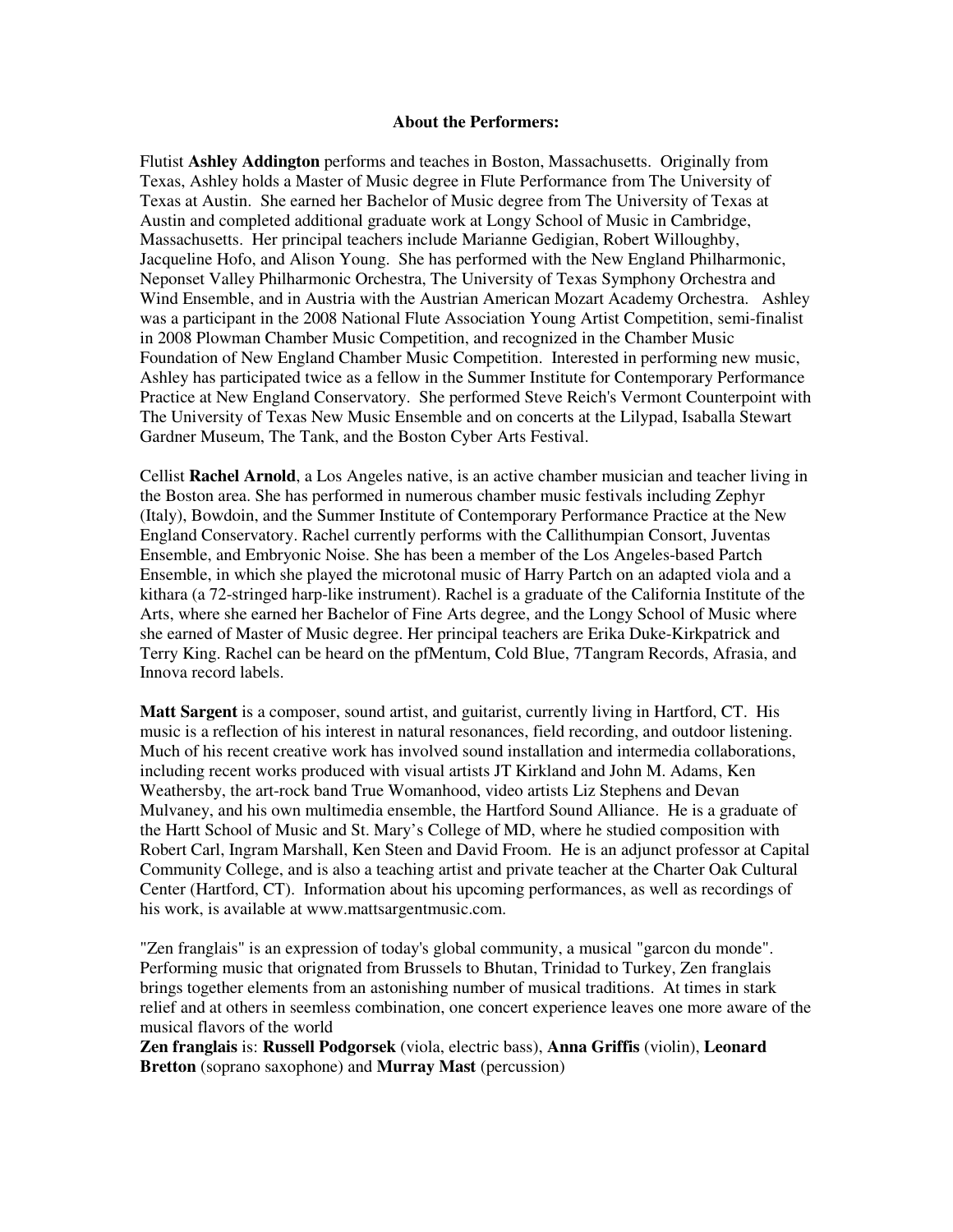#### **About the Performers:**

Flutist **Ashley Addington** performs and teaches in Boston, Massachusetts. Originally from Texas, Ashley holds a Master of Music degree in Flute Performance from The University of Texas at Austin. She earned her Bachelor of Music degree from The University of Texas at Austin and completed additional graduate work at Longy School of Music in Cambridge, Massachusetts. Her principal teachers include Marianne Gedigian, Robert Willoughby, Jacqueline Hofo, and Alison Young. She has performed with the New England Philharmonic, Neponset Valley Philharmonic Orchestra, The University of Texas Symphony Orchestra and Wind Ensemble, and in Austria with the Austrian American Mozart Academy Orchestra. Ashley was a participant in the 2008 National Flute Association Young Artist Competition, semi-finalist in 2008 Plowman Chamber Music Competition, and recognized in the Chamber Music Foundation of New England Chamber Music Competition. Interested in performing new music, Ashley has participated twice as a fellow in the Summer Institute for Contemporary Performance Practice at New England Conservatory. She performed Steve Reich's Vermont Counterpoint with The University of Texas New Music Ensemble and on concerts at the Lilypad, Isaballa Stewart Gardner Museum, The Tank, and the Boston Cyber Arts Festival.

Cellist **Rachel Arnold**, a Los Angeles native, is an active chamber musician and teacher living in the Boston area. She has performed in numerous chamber music festivals including Zephyr (Italy), Bowdoin, and the Summer Institute of Contemporary Performance Practice at the New England Conservatory. Rachel currently performs with the Callithumpian Consort, Juventas Ensemble, and Embryonic Noise. She has been a member of the Los Angeles-based Partch Ensemble, in which she played the microtonal music of Harry Partch on an adapted viola and a kithara (a 72-stringed harp-like instrument). Rachel is a graduate of the California Institute of the Arts, where she earned her Bachelor of Fine Arts degree, and the Longy School of Music where she earned of Master of Music degree. Her principal teachers are Erika Duke-Kirkpatrick and Terry King. Rachel can be heard on the pfMentum, Cold Blue, 7Tangram Records, Afrasia, and Innova record labels.

**Matt Sargent** is a composer, sound artist, and guitarist, currently living in Hartford, CT. His music is a reflection of his interest in natural resonances, field recording, and outdoor listening. Much of his recent creative work has involved sound installation and intermedia collaborations, including recent works produced with visual artists JT Kirkland and John M. Adams, Ken Weathersby, the art-rock band True Womanhood, video artists Liz Stephens and Devan Mulvaney, and his own multimedia ensemble, the Hartford Sound Alliance. He is a graduate of the Hartt School of Music and St. Mary's College of MD, where he studied composition with Robert Carl, Ingram Marshall, Ken Steen and David Froom. He is an adjunct professor at Capital Community College, and is also a teaching artist and private teacher at the Charter Oak Cultural Center (Hartford, CT). Information about his upcoming performances, as well as recordings of his work, is available at www.mattsargentmusic.com.

"Zen franglais" is an expression of today's global community, a musical "garcon du monde". Performing music that orignated from Brussels to Bhutan, Trinidad to Turkey, Zen franglais brings together elements from an astonishing number of musical traditions. At times in stark relief and at others in seemless combination, one concert experience leaves one more aware of the musical flavors of the world

**Zen franglais** is: **Russell Podgorsek** (viola, electric bass), **Anna Griffis** (violin), **Leonard Bretton** (soprano saxophone) and **Murray Mast** (percussion)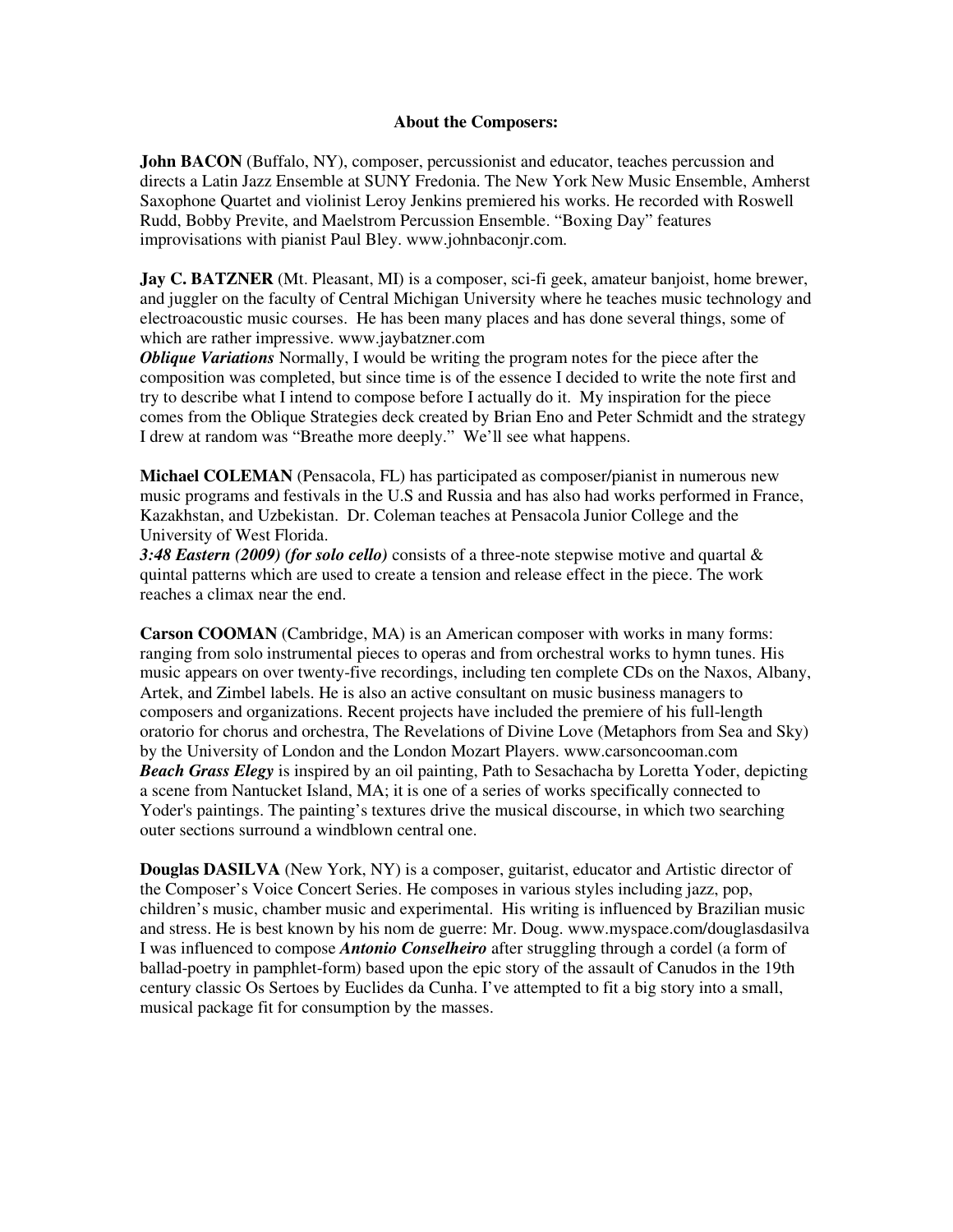## **About the Composers:**

**John BACON** (Buffalo, NY), composer, percussionist and educator, teaches percussion and directs a Latin Jazz Ensemble at SUNY Fredonia. The New York New Music Ensemble, Amherst Saxophone Quartet and violinist Leroy Jenkins premiered his works. He recorded with Roswell Rudd, Bobby Previte, and Maelstrom Percussion Ensemble. "Boxing Day" features improvisations with pianist Paul Bley. www.johnbaconjr.com.

**Jay C. BATZNER** (Mt. Pleasant, MI) is a composer, sci-fi geek, amateur banjoist, home brewer, and juggler on the faculty of Central Michigan University where he teaches music technology and electroacoustic music courses. He has been many places and has done several things, some of which are rather impressive. www.jaybatzner.com

*Oblique Variations* Normally, I would be writing the program notes for the piece after the composition was completed, but since time is of the essence I decided to write the note first and try to describe what I intend to compose before I actually do it. My inspiration for the piece comes from the Oblique Strategies deck created by Brian Eno and Peter Schmidt and the strategy I drew at random was "Breathe more deeply." We'll see what happens.

**Michael COLEMAN** (Pensacola, FL) has participated as composer/pianist in numerous new music programs and festivals in the U.S and Russia and has also had works performed in France, Kazakhstan, and Uzbekistan. Dr. Coleman teaches at Pensacola Junior College and the University of West Florida.

*3:48 Eastern (2009) (for solo cello)* consists of a three-note stepwise motive and quartal & quintal patterns which are used to create a tension and release effect in the piece. The work reaches a climax near the end.

**Carson COOMAN** (Cambridge, MA) is an American composer with works in many forms: ranging from solo instrumental pieces to operas and from orchestral works to hymn tunes. His music appears on over twenty-five recordings, including ten complete CDs on the Naxos, Albany, Artek, and Zimbel labels. He is also an active consultant on music business managers to composers and organizations. Recent projects have included the premiere of his full-length oratorio for chorus and orchestra, The Revelations of Divine Love (Metaphors from Sea and Sky) by the University of London and the London Mozart Players. www.carsoncooman.com *Beach Grass Elegy* is inspired by an oil painting, Path to Sesachacha by Loretta Yoder, depicting a scene from Nantucket Island, MA; it is one of a series of works specifically connected to Yoder's paintings. The painting's textures drive the musical discourse, in which two searching outer sections surround a windblown central one.

**Douglas DASILVA** (New York, NY) is a composer, guitarist, educator and Artistic director of the Composer's Voice Concert Series. He composes in various styles including jazz, pop, children's music, chamber music and experimental. His writing is influenced by Brazilian music and stress. He is best known by his nom de guerre: Mr. Doug. www.myspace.com/douglasdasilva I was influenced to compose *Antonio Conselheiro* after struggling through a cordel (a form of ballad-poetry in pamphlet-form) based upon the epic story of the assault of Canudos in the 19th century classic Os Sertoes by Euclides da Cunha. I've attempted to fit a big story into a small, musical package fit for consumption by the masses.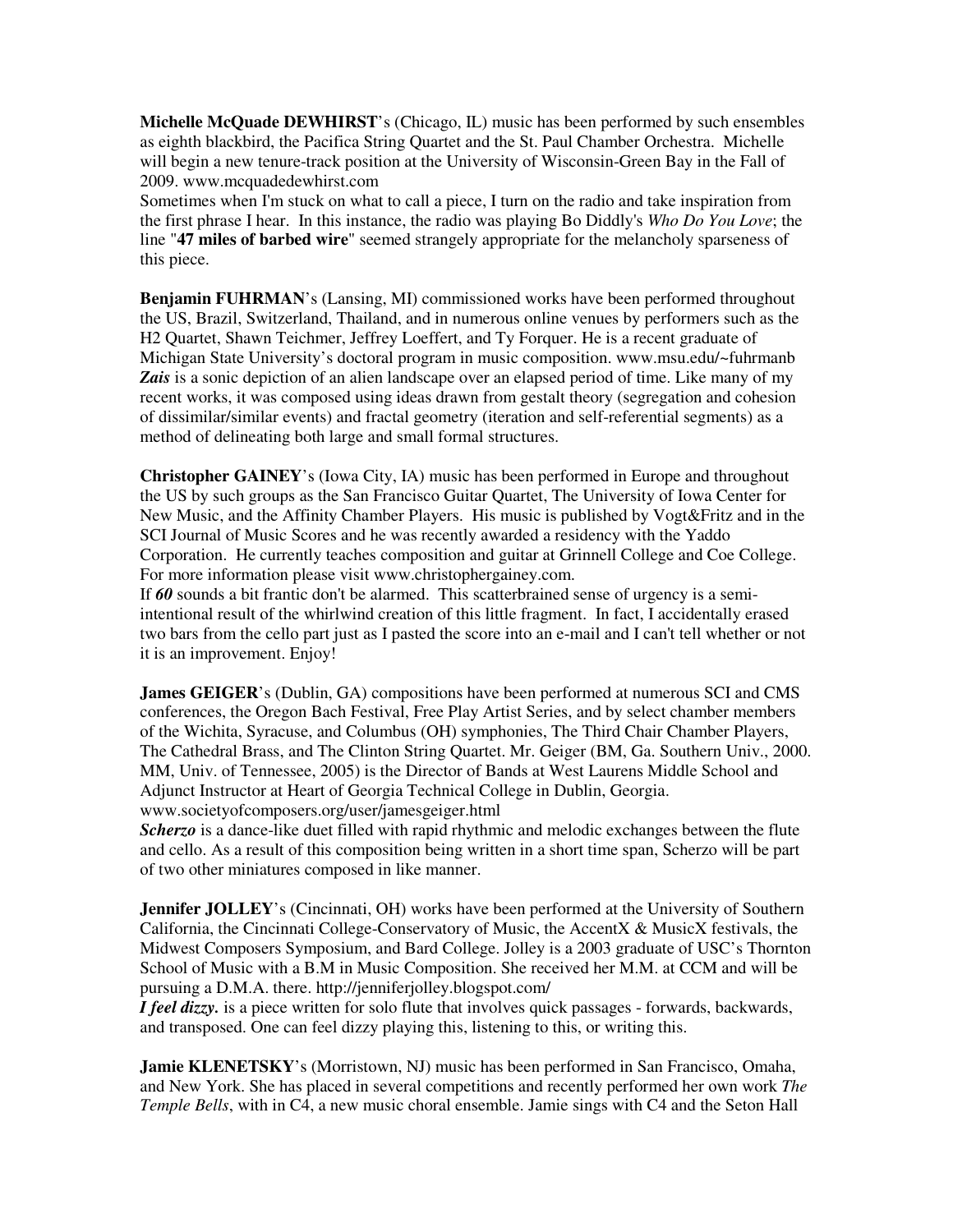**Michelle McQuade DEWHIRST**'s (Chicago, IL) music has been performed by such ensembles as eighth blackbird, the Pacifica String Quartet and the St. Paul Chamber Orchestra. Michelle will begin a new tenure-track position at the University of Wisconsin-Green Bay in the Fall of 2009. www.mcquadedewhirst.com

Sometimes when I'm stuck on what to call a piece, I turn on the radio and take inspiration from the first phrase I hear. In this instance, the radio was playing Bo Diddly's *Who Do You Love*; the line "**47 miles of barbed wire**" seemed strangely appropriate for the melancholy sparseness of this piece.

**Benjamin FUHRMAN**'s (Lansing, MI) commissioned works have been performed throughout the US, Brazil, Switzerland, Thailand, and in numerous online venues by performers such as the H2 Quartet, Shawn Teichmer, Jeffrey Loeffert, and Ty Forquer. He is a recent graduate of Michigan State University's doctoral program in music composition. www.msu.edu/~fuhrmanb Zais is a sonic depiction of an alien landscape over an elapsed period of time. Like many of my recent works, it was composed using ideas drawn from gestalt theory (segregation and cohesion of dissimilar/similar events) and fractal geometry (iteration and self-referential segments) as a method of delineating both large and small formal structures.

**Christopher GAINEY**'s (Iowa City, IA) music has been performed in Europe and throughout the US by such groups as the San Francisco Guitar Quartet, The University of Iowa Center for New Music, and the Affinity Chamber Players. His music is published by Vogt&Fritz and in the SCI Journal of Music Scores and he was recently awarded a residency with the Yaddo Corporation. He currently teaches composition and guitar at Grinnell College and Coe College. For more information please visit www.christophergainey.com.

If *60* sounds a bit frantic don't be alarmed. This scatterbrained sense of urgency is a semiintentional result of the whirlwind creation of this little fragment. In fact, I accidentally erased two bars from the cello part just as I pasted the score into an e-mail and I can't tell whether or not it is an improvement. Enjoy!

**James GEIGER**'s (Dublin, GA) compositions have been performed at numerous SCI and CMS conferences, the Oregon Bach Festival, Free Play Artist Series, and by select chamber members of the Wichita, Syracuse, and Columbus (OH) symphonies, The Third Chair Chamber Players, The Cathedral Brass, and The Clinton String Quartet. Mr. Geiger (BM, Ga. Southern Univ., 2000. MM, Univ. of Tennessee, 2005) is the Director of Bands at West Laurens Middle School and Adjunct Instructor at Heart of Georgia Technical College in Dublin, Georgia. www.societyofcomposers.org/user/jamesgeiger.html

*Scherzo* is a dance-like duet filled with rapid rhythmic and melodic exchanges between the flute and cello. As a result of this composition being written in a short time span, Scherzo will be part of two other miniatures composed in like manner.

**Jennifer JOLLEY**'s (Cincinnati, OH) works have been performed at the University of Southern California, the Cincinnati College-Conservatory of Music, the AccentX & MusicX festivals, the Midwest Composers Symposium, and Bard College. Jolley is a 2003 graduate of USC's Thornton School of Music with a B.M in Music Composition. She received her M.M. at CCM and will be pursuing a D.M.A. there. http://jenniferjolley.blogspot.com/

*I feel dizzy*, is a piece written for solo flute that involves quick passages - forwards, backwards, and transposed. One can feel dizzy playing this, listening to this, or writing this.

**Jamie KLENETSKY**'s (Morristown, NJ) music has been performed in San Francisco, Omaha, and New York. She has placed in several competitions and recently performed her own work *The Temple Bells*, with in C4, a new music choral ensemble. Jamie sings with C4 and the Seton Hall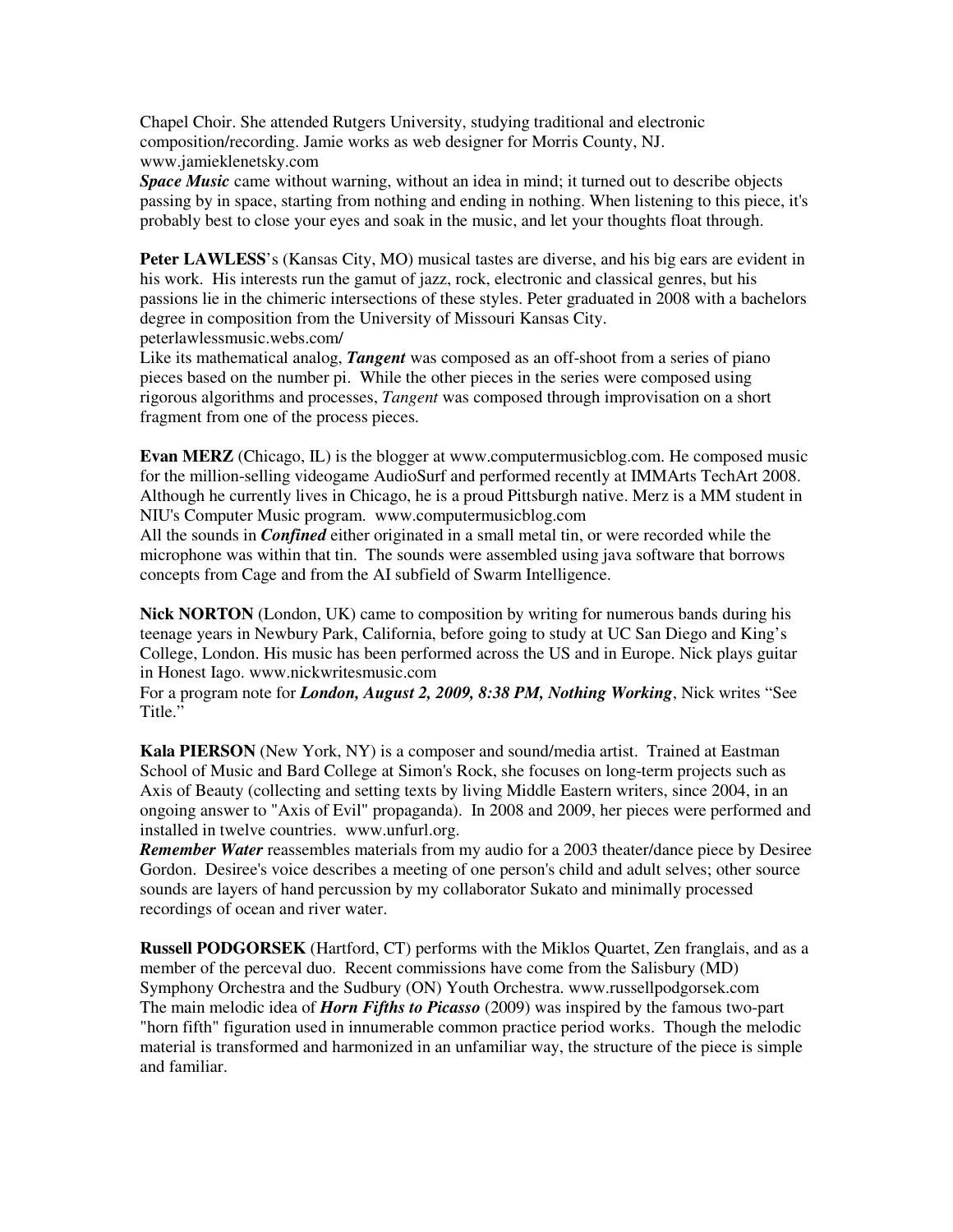Chapel Choir. She attended Rutgers University, studying traditional and electronic composition/recording. Jamie works as web designer for Morris County, NJ. www.jamieklenetsky.com

*Space Music* came without warning, without an idea in mind; it turned out to describe objects passing by in space, starting from nothing and ending in nothing. When listening to this piece, it's probably best to close your eyes and soak in the music, and let your thoughts float through.

**Peter LAWLESS**'s (Kansas City, MO) musical tastes are diverse, and his big ears are evident in his work. His interests run the gamut of jazz, rock, electronic and classical genres, but his passions lie in the chimeric intersections of these styles. Peter graduated in 2008 with a bachelors degree in composition from the University of Missouri Kansas City. peterlawlessmusic.webs.com/

Like its mathematical analog, *Tangent* was composed as an off-shoot from a series of piano pieces based on the number pi. While the other pieces in the series were composed using rigorous algorithms and processes, *Tangent* was composed through improvisation on a short fragment from one of the process pieces.

**Evan MERZ** (Chicago, IL) is the blogger at www.computermusicblog.com. He composed music for the million-selling videogame AudioSurf and performed recently at IMMArts TechArt 2008. Although he currently lives in Chicago, he is a proud Pittsburgh native. Merz is a MM student in NIU's Computer Music program. www.computermusicblog.com

All the sounds in *Confined* either originated in a small metal tin, or were recorded while the microphone was within that tin. The sounds were assembled using java software that borrows concepts from Cage and from the AI subfield of Swarm Intelligence.

**Nick NORTON** (London, UK) came to composition by writing for numerous bands during his teenage years in Newbury Park, California, before going to study at UC San Diego and King's College, London. His music has been performed across the US and in Europe. Nick plays guitar in Honest Iago. www.nickwritesmusic.com

For a program note for *London, August 2, 2009, 8:38 PM, Nothing Working*, Nick writes "See Title."

**Kala PIERSON** (New York, NY) is a composer and sound/media artist. Trained at Eastman School of Music and Bard College at Simon's Rock, she focuses on long-term projects such as Axis of Beauty (collecting and setting texts by living Middle Eastern writers, since 2004, in an ongoing answer to "Axis of Evil" propaganda). In 2008 and 2009, her pieces were performed and installed in twelve countries. www.unfurl.org.

*Remember Water* reassembles materials from my audio for a 2003 theater/dance piece by Desiree Gordon. Desiree's voice describes a meeting of one person's child and adult selves; other source sounds are layers of hand percussion by my collaborator Sukato and minimally processed recordings of ocean and river water.

**Russell PODGORSEK** (Hartford, CT) performs with the Miklos Quartet, Zen franglais, and as a member of the perceval duo. Recent commissions have come from the Salisbury (MD) Symphony Orchestra and the Sudbury (ON) Youth Orchestra. www.russellpodgorsek.com The main melodic idea of *Horn Fifths to Picasso* (2009) was inspired by the famous two-part "horn fifth" figuration used in innumerable common practice period works. Though the melodic material is transformed and harmonized in an unfamiliar way, the structure of the piece is simple and familiar.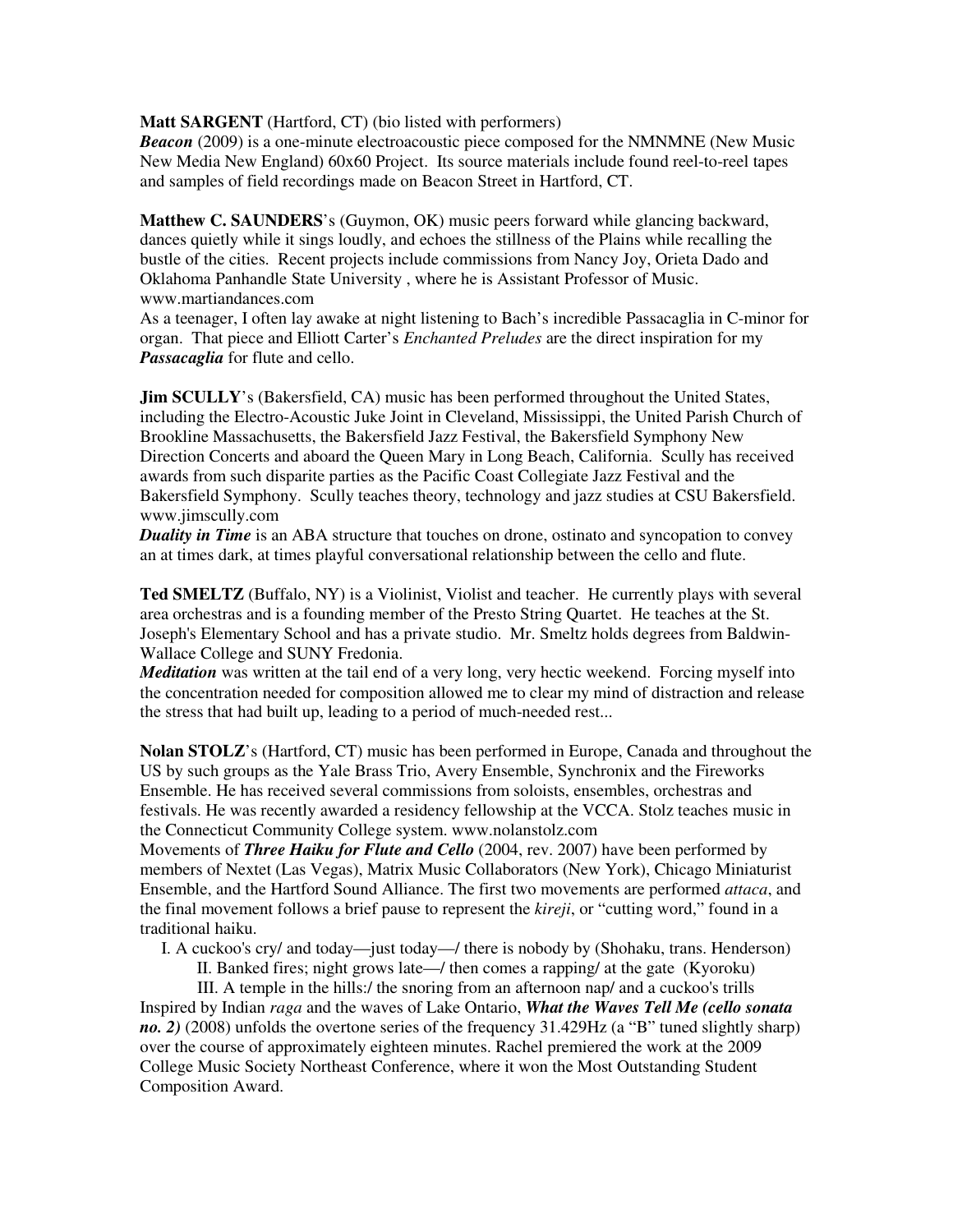## **Matt SARGENT** (Hartford, CT) (bio listed with performers)

*Beacon* (2009) is a one-minute electroacoustic piece composed for the NMNMNE (New Music New Media New England) 60x60 Project. Its source materials include found reel-to-reel tapes and samples of field recordings made on Beacon Street in Hartford, CT.

**Matthew C. SAUNDERS**'s (Guymon, OK) music peers forward while glancing backward, dances quietly while it sings loudly, and echoes the stillness of the Plains while recalling the bustle of the cities. Recent projects include commissions from Nancy Joy, Orieta Dado and Oklahoma Panhandle State University , where he is Assistant Professor of Music. www.martiandances.com

As a teenager, I often lay awake at night listening to Bach's incredible Passacaglia in C-minor for organ. That piece and Elliott Carter's *Enchanted Preludes* are the direct inspiration for my *Passacaglia* for flute and cello.

**Jim SCULLY**'s (Bakersfield, CA) music has been performed throughout the United States, including the Electro-Acoustic Juke Joint in Cleveland, Mississippi, the United Parish Church of Brookline Massachusetts, the Bakersfield Jazz Festival, the Bakersfield Symphony New Direction Concerts and aboard the Queen Mary in Long Beach, California. Scully has received awards from such disparite parties as the Pacific Coast Collegiate Jazz Festival and the Bakersfield Symphony. Scully teaches theory, technology and jazz studies at CSU Bakersfield. www.jimscully.com

*Duality in Time* is an ABA structure that touches on drone, ostinato and syncopation to convey an at times dark, at times playful conversational relationship between the cello and flute.

**Ted SMELTZ** (Buffalo, NY) is a Violinist, Violist and teacher. He currently plays with several area orchestras and is a founding member of the Presto String Quartet. He teaches at the St. Joseph's Elementary School and has a private studio. Mr. Smeltz holds degrees from Baldwin-Wallace College and SUNY Fredonia.

*Meditation* was written at the tail end of a very long, very hectic weekend. Forcing myself into the concentration needed for composition allowed me to clear my mind of distraction and release the stress that had built up, leading to a period of much-needed rest...

**Nolan STOLZ**'s (Hartford, CT) music has been performed in Europe, Canada and throughout the US by such groups as the Yale Brass Trio, Avery Ensemble, Synchronix and the Fireworks Ensemble. He has received several commissions from soloists, ensembles, orchestras and festivals. He was recently awarded a residency fellowship at the VCCA. Stolz teaches music in the Connecticut Community College system. www.nolanstolz.com

Movements of *Three Haiku for Flute and Cello* (2004, rev. 2007) have been performed by members of Nextet (Las Vegas), Matrix Music Collaborators (New York), Chicago Miniaturist Ensemble, and the Hartford Sound Alliance. The first two movements are performed *attaca*, and the final movement follows a brief pause to represent the *kireji*, or "cutting word," found in a traditional haiku.

I. A cuckoo's cry/ and today—just today—/ there is nobody by (Shohaku, trans. Henderson)

II. Banked fires; night grows late—/ then comes a rapping/ at the gate (Kyoroku)

III. A temple in the hills:/ the snoring from an afternoon nap/ and a cuckoo's trills Inspired by Indian *raga* and the waves of Lake Ontario, *What the Waves Tell Me (cello sonata no. 2)* (2008) unfolds the overtone series of the frequency 31.429Hz (a "B" tuned slightly sharp) over the course of approximately eighteen minutes. Rachel premiered the work at the 2009 College Music Society Northeast Conference, where it won the Most Outstanding Student Composition Award.